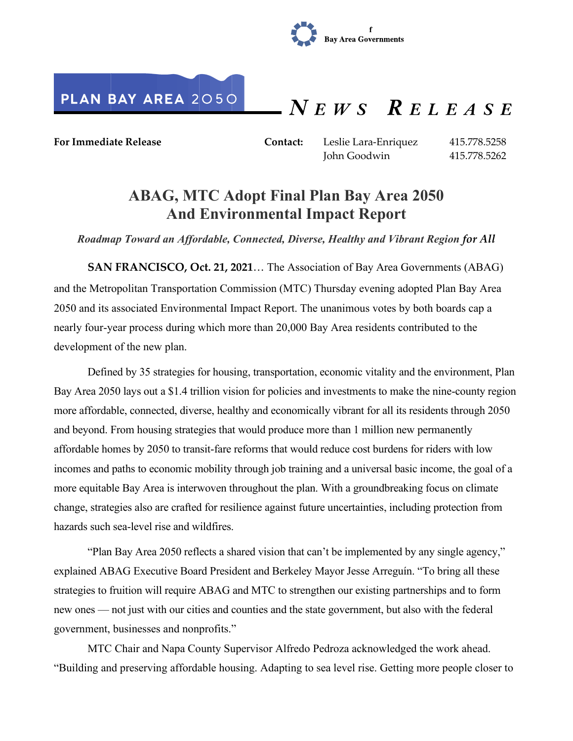



 $N E W S$  RELEASE

**For Immediate Release Contact:** Leslie Lara-Enriquez 415.778.5258

John Goodwin 415.778.5262

## **ABAG, MTC Adopt Final Plan Bay Area 2050 And Environmental Impact Report**

*Roadmap Toward an Affordable, Connected, Diverse, Healthy and Vibrant Region for All*

**SAN FRANCISCO, Oct. 21, 2021**… The Association of Bay Area Governments (ABAG) and the Metropolitan Transportation Commission (MTC) Thursday evening adopted Plan Bay Area 2050 and its associated Environmental Impact Report. The unanimous votes by both boards cap a nearly four-year process during which more than 20,000 Bay Area residents contributed to the development of the new plan.

Defined by 35 strategies for housing, transportation, economic vitality and the environment, Plan Bay Area 2050 lays out a \$1.4 trillion vision for policies and investments to make the nine-county region more affordable, connected, diverse, healthy and economically vibrant for all its residents through 2050 and beyond. From housing strategies that would produce more than 1 million new permanently affordable homes by 2050 to transit-fare reforms that would reduce cost burdens for riders with low incomes and paths to economic mobility through job training and a universal basic income, the goal of a more equitable Bay Area is interwoven throughout the plan. With a groundbreaking focus on climate change, strategies also are crafted for resilience against future uncertainties, including protection from hazards such sea-level rise and wildfires.

"Plan Bay Area 2050 reflects a shared vision that can't be implemented by any single agency," explained ABAG Executive Board President and Berkeley Mayor Jesse Arreguín. "To bring all these strategies to fruition will require ABAG and MTC to strengthen our existing partnerships and to form new ones — not just with our cities and counties and the state government, but also with the federal government, businesses and nonprofits."

MTC Chair and Napa County Supervisor Alfredo Pedroza acknowledged the work ahead. "Building and preserving affordable housing. Adapting to sea level rise. Getting more people closer to